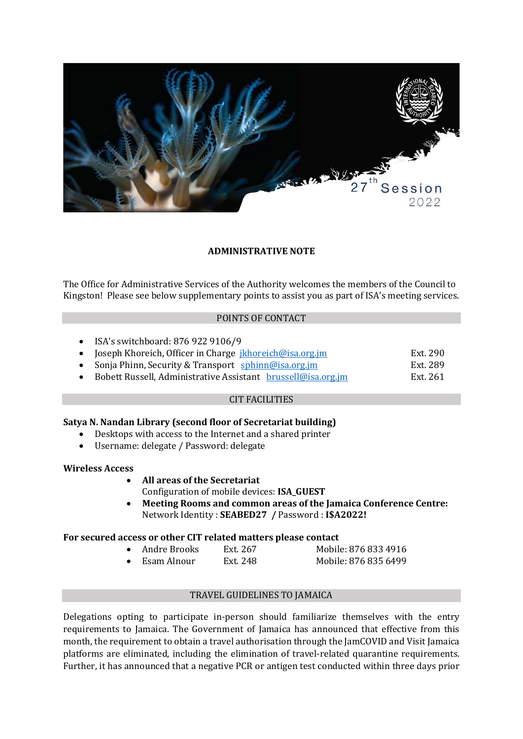

## **ADMINISTRATIVE NOTE**

The Office for Administrative Services of the Authority welcomes the members of the Council to Kingston! Please see below supplementary points to assist you as part of ISA's meeting services.

### POINTS OF CONTACT

• ISA's switchboard: 876 922 9106/9

|  | Joseph Khoreich, Officer in Charge jkhoreich@isa.org.jm |  | Ext. 290 |
|--|---------------------------------------------------------|--|----------|
|--|---------------------------------------------------------|--|----------|

- Sonja Phinn, Security & Transport [sphinn@isa.org.jm](mailto:sphinn@isa.org.jm) Ext. 289<br>• Bobett Russell, Administrative Assistant brussell@isa.org.jm Ext. 261
- Bobett Russell, Administrative Assistant [brussell@isa.org.jm](mailto:brussell@isa.org.jm)

### CIT FACILITIES

# **Satya N. Nandan Library (second floor of Secretariat building)**

- Desktops with access to the Internet and a shared printer<br>• Username: delegate / Password: delegate
- Username: delegate / Password: delegate

#### **Wireless Access**

- **All areas of the Secretariat**
- Configuration of mobile devices: **ISA\_GUEST**
- **Meeting Rooms and common areas of the Jamaica Conference Centre:** Network Identity : **SEABED27 /** Password : **I\$A2022!**

### **For secured access or other CIT related matters please contact**

Andre Brooks Ext. 267 Mobile: 876 833 4916<br>Esam Alnour Ext. 248 Mobile: 876 835 6499 Mobile: 876 835 6499

### TRAVEL GUIDELINES TO JAMAICA

Delegations opting to participate in-person should familiarize themselves with the entry requirements to Jamaica. The Government of Jamaica has announced that effective from this month, the requirement to obtain a travel authorisation through the JamCOVID and Visit Jamaica platforms are eliminated, including the elimination of travel-related quarantine requirements. Further, it has announced that a negative PCR or antigen test conducted within three days prior